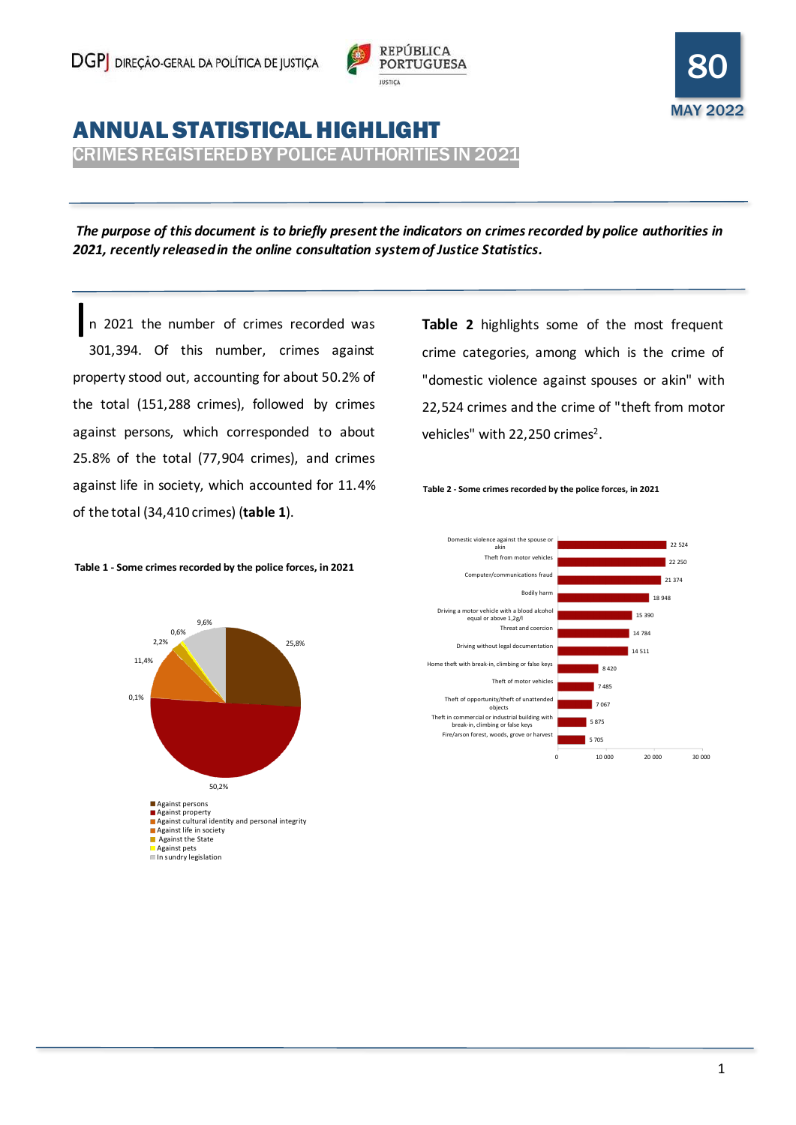



# ANNUAL STATISTICAL HIGHLIGHT

CRIMES REGISTERED BY POLICE AUTHORITIES IN 2021

*The purpose of this document is to briefly present the indicators on crimes recorded by police authorities in 2021, recently released in the online consultation system of Justice Statistics.*

n 2021 the number of crimes recorded was 301,394. Of this number, crimes against property stood out, accounting for about 50.2% of the total (151,288 crimes), followed by crimes against persons, which corresponded to about 25.8% of the total (77,904 crimes), and crimes against life in society, which accounted for 11.4% of the total (34,410 crimes) (**table 1**). I

**Table 2** highlights some of the most frequent crime categories, among which is the crime of "domestic violence against spouses or akin" with 22,524 crimes and the crime of "theft from motor vehicles" with 22,250 crimes<sup>2</sup>.





#### **Table 1 - Some crimes recorded by the police forces, in 2021**